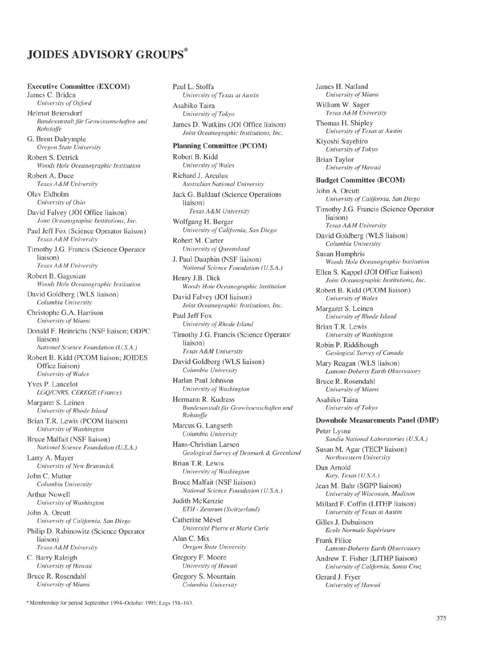# **JOIDES ADVISORY GROUPS**

## **Executive Committee (EXCOM)**

James C. Briden *University of Oxford* Helmut Beiersdorf *Bundesanstalt für Geowissenschaften und Rohstoffe*

G. Brent Dalrymple *Oregon State University*

Robert S. Detrick *Woods Hole Oceanographic Institution* Robert A. Duce

*Texas A&M University* Olav Eldholm

*University of Oslo* David Falvey (JOI Office liaison)

*Joint Oceanographic Institutions, Inc.* Paul Jeff Fox (Science Operator liaison)

*Texas A&M University* Timothy J.G. Francis (Science Operator liaison)

*Texas A&M University*

Robert B. Gagosian *Woods Hole Oceanographic Institution*

David Goldberg (WLS liaison) *Columbia University*

Christophe G.A. Harrison *University of Miami*

Donald F. Heinrichs (NSF liaison; ODPC liaison) *National Science Foundation (U.S.A.)*

Robert B. Kidd (PCOM liaison; JOIDES Office liaison) *University of Wales*

Yves P. Lancelot *LGQ/CNRS, CEREGE (France)*

Margaret S. Leinen *University of Rhode Island*

Brian T.R. Lewis (PCOM liaison) *University of Washington*

Bruce Malfait (NSF liaison) *National Science Foundation (U.S.A.)*

Larry A. Mayer *University of New Brunswick*

John C. Mutter *Columbia University* Arthur Nowell

*University of Washington* John A. Orcutt

*University of California, San Diego* Philip D. Rabinowitz (Science Operator liaison) *Texas A&M University* C. Barry Raleigh

*University of Hawaii* Bruce R. Rosendahl *University of Miami*

Paul L. Stoffa *University of Texas at Austin* Asahiko Taira *University of Tokyo* James D. Watkins (JOI Office liaison) *Joint Oceanographic Institutions, Inc.* **Planning Committee (PCOM)** Robert B.Kidd

*University of Wales* Richard J. Arculus *Australian National University* Jack G. Baldauf (Science Operations liaison) *Texas A&M University*

Wolfgang H. Berger *University of California, San Diego*

Robert M. Carter *University of Queensland*

J. Paul Dauphin (NSF liaison) *National Science Foundation (U.S.A.)* Henry J.B.Dick

*Woods Hole Oceanographic Institution*

David Falvey (JOI liaison) *Joint Oceanographic Institutions, Inc.*

Paul Jeff Fox *University of Rhode Island*

Timothy J.G. Francis (Science Operator liaison) *Texas A&M University*

David Goldberg (WLS liaison) *Columbia University*

Harlan Paul Johnson *University of Washington*

Hermann R. Kudrass *Bundesanstalt für Geowissenschaften und Rohstoffe*

Marcus G. Langseth *Columbia University*

Hans-Christian Larsen *Geological Survey of Denmark & Greenland*

Brian T.R. Lewis *University of Washington*

Bruce Malfait (NSF liaison) *National Science Foundation (U.S.A.)*

Judith McKenzie *ETH - Zentrum (Switzerland)*

Catherine Mével *Université Pierre et Marie Curie*

Alan C. Mix *Oregon State University*

Gregory F. Moore *University of Hawaii* Gregory S. Mountain *Columbia University*

James H. Natland *University of Miami*

William W. Sager *Texas A&M University*

Thomas H. Shipley *University of Texas at Austin*

Kiyoshi Suyehiro *University of Tokyo*

Brian Taylor *University of Hawaii*

#### **Budget Committee (BCOM)**

John A. Orcutt *University of California, San Diego*

Timothy J.G. Francis (Science Operator liaison) *Texas A&M University*

David Goldberg (WLS liaison) *Columbia University*

Susan Humphris *Woods Hole Oceanographic Institution*

Ellen S. Kappel (JOI Office liaison) *Joint Oceanographic Institutions, Inc.*

Robert B. Kidd (PCOM liaison) *University of Wales*

Margaret S. Leinen *University of Rhode Island*

Brian T.R. Lewis *University of Washington*

Robin P. Riddihough *Geological Survey of Canada*

Mary Reagan (WLS liaison) *Lamont-Doherty Earth Observatory*

Bruce R. Rosendahl *University of Miami*

Asahiko Taira *University of Tokyo*

### **Downhole Measurements Panel (DMP)**

Peter Lysne *Sandia National Laboratories (U.S.A.)*

Susan M. Agar (TECP liaison) *Northwestern University*

Dan Arnold *Katy, Texas (U.S.A.)*

Jean M. Bahr (SGPP liaison) *University of Wisconsin, Madison*

Millard F. Coffin (LITHP liaison) *University of Texas at Austin*

Gilles J. Dubuisson *Ecole Normale Supérieure*

Frank Filice *Lamont-Doherty Earth Observatory*

Andrew T. Fisher (LITHP liaison) *University of California, Santa Cruz*

Gerard J. Fryer *University of Hawaii*

\* Membership for period September 1994-October 1995; Legs 158-163.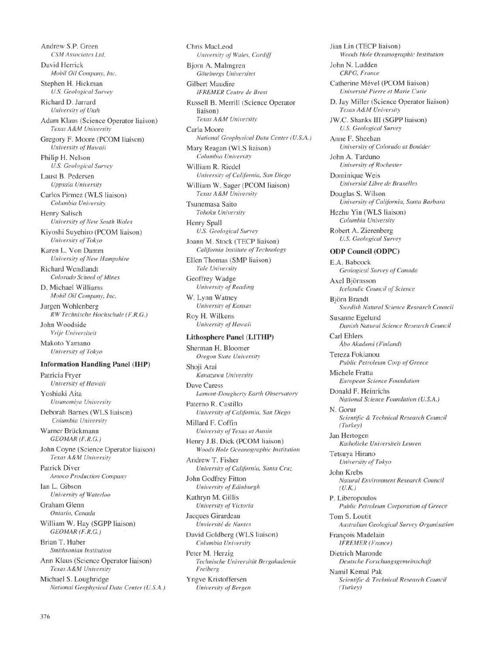Andrew S.P. Green *CSM Associates Ltd.* David Herrick *Mobil Oil Company, Inc.* Stephen H. Hickman *U.S. Geological Survey* Richard D. Jarrard *University of Utah* Adam Klaus (Science Operator liaison) *Texas A&M University* Gregory F. Moore (PCOM liaison) *University of Hawaii* Philip H. Nelson *U.S. Geological Survey* Laust B. Pedersen *Uppsala University* Carlos Pirmez (WLS liaison) *Columbia University* Henry Salisch *University of New South Wales* Kiyoshi Suyehiro (PCOM liaison) *University of Tokyo* Karen L. Von Damm *University of New Hampshire* Richard Wendlandt *Colorado School of Mines* D. Michael Williams *Mobil Oil Company, Inc.* Jurgen Wohlenberg *RW Technische Hochschule (F.R.G.)* John Woodside *Vrije Universiteit* Makoto Yamano *University of Tokyo* **Information Handling Panel (IHP)** Patricia Fryer *University of Hawaii* Yoshiaki Aita *Utsunomiya University* Deborah Barnes (WLS liaison) *Columbia University* Warner Brückmann *GEOMAR (F.R.G.)* John Coyne (Science Operator liaison) *Texas A&M University* Patrick Diver *Amoco Production Company* Ian L. Gibson *University of Waterloo* Graham Glenn *Ontario, Canada* William W. Hay (SGPP liaison) *GEOMAR (F.R.G.)* Brian T. Huber *Smithsonian Institution* Ann Klaus (Science Operator liaison) *Texas A&M University* Michael S. Loughridge *National Geophysical Data Center (U.S.A.)* Chris MacLeod *University of Wales, Cardiff* Björn A. Malmgren *Göteborgs Universitet* Gilbert Maudire *IFREMER Centre de Brest* Russell B. Merrill (Science Operator liaison) *Texas A&M University* Carla Moore *National Geophysical Data Center (U.S.A.)* Mary Reagan (WLS liaison) *Columbia University* William R. Riedel *University of California, San Diego* William W. Sager (PCOM liaison) *Texas A&M University* Tsunemasa Saito *Tohoku University* Henry Spall *U.S. Geological Survey* Joann M. Stock (TECP liaison) *California Institute of Technology* Ellen Thomas (SMP liaison) *Yale University* Geoffrey Wadge *University of Reading* W. Lynn Watney *University of Kansas* Roy H. Wilkens *University of Hawaii* **Lithosphere Panel (LITHP)** Sherman H. Bloomer *Oregon State University* Shoji Arai *Kanazawa University* Dave Caress *Lamont-Dougherty Earth Observatory* Paterno R. Castillo *University of California, San Diego* Millard F. Coffin *University of Texas at Austin* Henry J.B. Dick (PCOM liaison) *Woods Hole Oceanographic Institution* Andrew T. Fisher *University of California, Santa Cruz* John Godfrey Fitton *University of Edinburgh* Kathryn M. Gillis *University of Victoria* Jacques Girardeau *Unviersité de Nantes* David Goldberg (WLS liaison) *Columbia University* Peter M. Herzig *Technische Universiteit Bergakademie Freiberg* Yngve Kristoffersen *University of Bergen*

*Woods Hole Oceanographic Institution* John N. Ludden *CRPG, France* Catherine Mével (PCOM liaison) *Université Pierre et Marie Curie* D. Jay Miller (Science Operator liaison) *Texas A&M University* JW.C. Shanks III (SGPP liaison) *U.S. Geological Survey* Anne F. Sheehan *University of Colorado at Boulder* John A. Tarduno *University of Rochester* Dominique Weis *Université Libre de Bruxelles* Douglas S. Wilson *University of California, Santa Barbara* Hezhu Yin (WLS liaison) *Columbia University* Robert A. Zierenberg *U.S. Geological Survey* **ODP Council (ODPC)** E.A. Babcock *Geological Survey of Canada* Axel Björnsson *Icelandic Council of Science* Björn Brandt *Swedish Natural Science Research Council* Susanne Egelund *Danish Natural Science Research Council* Carl Ehlers *Åbo Akademi (Finland)* Tereza Fokianou *Public Petroleum Corp of Greece* Michele Fratta *European Science Foundation* Donald F. Heinrichs *National Science Foundation (U.S.A.)* N. Gorur *Scientific & Technical Research Council (Turkey)* Jan Hertogen *Katholieke Universiteit Leuven* Tetsuya Hirano *University of Tokyo* John Krebs *Natural Environment Research Council (U.K.)* P. Liberopoulos *Public Petroleum Corporation of Greece* Tom S. Loutit *Australian Geological Survey Organisation* François Madelain *IFREMER (France)* Dietrich Maronde *Deutsche Forschungsgemeinschaft* Namil Kemal Pak *Scientific & Technical Research Council (Turkey)*

Jian Lin (TECP liaison)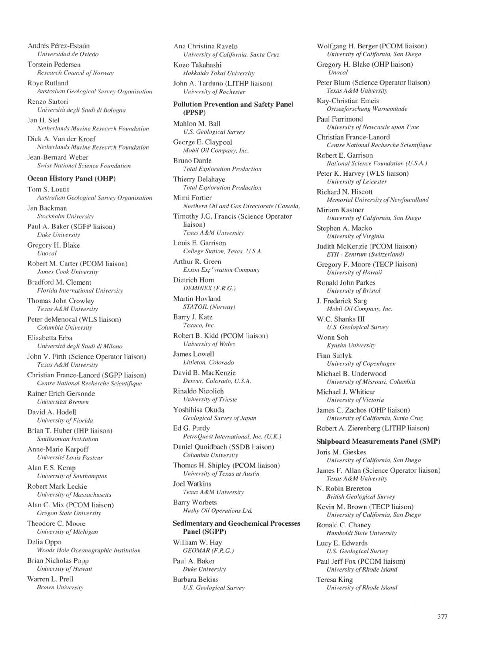Andrés Pérez-Estaún *Universidad de Oviedo*

Torstein Pedersen *Research Council of Norway*

Roye Rutland *Australian Geological Survey Organisation*

Renzo Sartori *Universita degli Studi di Bologna*

Jan H. Stel *Netherlands Marine Research Foundation* Dick A. Van der Kroef

*Netherlands Marine Research Foundation*

Jean-Bernard Weber *Swiss National Science Foundation*

## **Ocean History Panel (OHP)**

Tom S. Loutit *Australian Geological Survey Organisation* Jan Backman *Stockholm University* Paul A. Baker (SGPP liaison) *Duke University* Gregory H. Blake *Unocal*

Robert M. Carter (PCOM liaison) *James Cook University*

Bradford M. Clement *Florida International University*

Thomas John Crowley *Texas A&M University*

Peter deMenocal (WLS liaison) *Columbia University*

Elisabetta Erba *Universita degli Studi di Milano*

John V. Firth (Science Operator liaison) *Texas A&M University*

Christian France-Lanord (SGPP liaison) *Centre National Recherche Scientifique*

Rainer Erich Gersonde *Universiteit Bremen*

David A. Hodell *University of Florida*

Brian T. Huber (IHP liaison) *Smithsonian Institution*

Anne-Marie Karpoff *Université Louis Pasteur*

Alan E.S. Kemp *University of Southampton*

Robert Mark Leckie *University of Massachusetts*

Alan C. Mix (PCOM liaison) *Oregon State University*

Theodore C. Moore *University of Michigan*

Delia Oppo *Woods Hole Oceanographic Institution* Brian Nicholas Popp

*University of Hawaii* Warren L. Prell

*Brown University*

Ana Christina Ravelo *University of California, Santa Cruz.* Kozo Takahashi *Hokkaido Tokai University* John A. Tarduno (LITHP liaison)

*University of Rochester* **Pollution Prevention and Safety Panel**

**(PPSP)** Mahlon M. Ball *U.S. Geological Survey* George E. Claypool

*Mobil Oil Company, Inc.* Bruno Darde

*Total Exploration Production* Thierry Delahaye

*Total Exploration Production* Mimi Fortier *Northern Oil and Gas Directorate (Canada)*

Timothy J.G. Francis (Science Operator liaison) *Texas A&M University*

Louis E. Garrison *College Station, Texas, U.S.A.*

Arthur R. Green *Exxon Exf'oration Company*

Dietrich Horn *DEMINEX (F.R.G.)*

Martin Hovland *STATOIL (Norway)*

Barry J. Katz *Texaco, Inc.* Robert B. Kidd (PCOM liaison)

*University of Wales*

James Lowell *Littleton, Colorado*

David B. MacKenzie *Denver, Colorado, U.S.A.*

Rinaldo Nicolich *University of Trieste*

Yoshihisa Okuda *Geological Survey of Japan*

Ed G. Purdy *PetroQuest International, Inc. (U.K.)*

Daniel Quoidbach (SSDB liaison) *Columbia University*

Thomas H. Shipley (PCOM liaison) *University of Texas at Austin*

Joel Watkins *Texas A&M University*

Barry Worbets *Husky Oil Operations Ltd.*

**Sedimentary and Geochemical Processes Panel (SGPP)**

William W. Hay *GEOMAR (F.R.G.)*

Paul A. Baker *Duke University*

Barbara Bekins *U.S. Geological Survey* Wolfgang H. Berger (PCOM liaison) *University of California, San Diego*

Gregory H. Blake (OHP liaison) *Unocal*

Peter Blum (Science Operator liaison) *Texas A&M University*

Kay-Christian Emeis *Ostseeforschung Warnemünde*

Paul Farrimond *University of Newcastle upon Tyne*

Christian France-Lanord *Centre National Recherche Scientifique*

Robert E. Garrison *National Science Foundation (U.S.A.)*

Peter K. Harvey (WLS liaison) *University of Leicester*

Richard N. Hiscott *Memorial University of Newfoundland*

Miriam Kastner *University of California, San Diego*

Stephen A. Macko *University of Virginia*

Judith McKenzie (PCOM liaison) *ETH - Zentrum (Switzerland)*

Gregory F. Moore (TECP liaison) *University of Hawaii*

Ronald John Parkes *University of Bristol*

J. Frederick Sarg *Mobil Oil Company, Inc.*

W.C. Shanks **III** *U.S. Geological Survey*

Wonn Soh *Kyushu University*

Finn Surlyk *University of Copenhagen*

Michael B. Underwood *University of Missouri, Columbia*

Michael J. Whiticar *University of Victoria*

James C. Zachos (OHP liaison) *University of California, Santa Cruz*

Robert A. Zierenberg (LITHP liaison)

#### **Shipboard Measurements Panel (SMP)**

Joris M. Gieskes *University of California, San Diego* James F. Allan (Science Operator liaison)

*Texas A&M University* N. Robin Brereton *British Geological Survey*

Kevin M. Brown (TECP liaison) *University of California, San Diego*

Ronald C. Chaney *Humboldt State University*

Lucy E. Edwards *U.S. Geological Survey*

Paul Jeff Fox (PCOM liaison) *University of Rhode Island*

Teresa King *University of Rhode Island*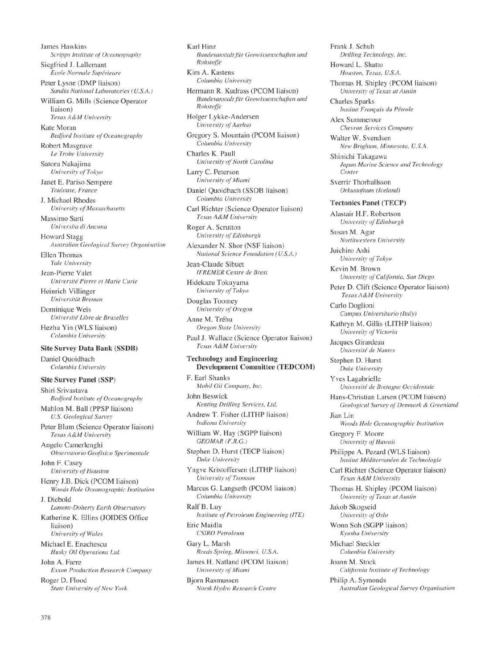James Hawkins *Scripps Institute of Oceanography* Siegfried J. Lallemant *Ecole Normale Supérieure* Peter Lysne (DMP liaison) *Sandia National Laboratories (U.S.A.)* William G. Mills (Science Operator liaison) *Texas A&M University* Kate Moran *Bedford Institute of Oceanography* Robert Musgrave *Le Trobe University* Satoru Nakajima *University of Tokyo* Janet E. Pariso Sempere *Toulouse, France* J. Michael Rhodes *University of Massachusetts* Massimo Sarti *Universita di Ancona* Howard Stagg *Australian Geological Survey Organisation* Ellen Thomas *Yale University* Jean-Pierre Valet *Université Pierre et Marie Curie* Heinrich Villinger *Universiteit Bremen* Dominique Weis *Université Libre de Bruxelles* Hezhu Yin (WLS liaison) *Columbia University* **Site Survey Data Bank (SSDB)** Daniel Quoidbach *Columbia University* **Site Survey Panel (SSP)** Shiri Srivastava *Bedford Institute of Oceanography* Mahlon M. Ball (PPSP liaison) *U.S. Geological Survey* Peter Blum (Science Operator liaison) *Texas A&M University* Angelo Camerlenghi *Observatorio Geofisico Sperimentale* John F. Casey *University of Houston* Henry J.B. Dick (PCOM liaison) *Woods Hole Oceanographic Institution* J. Diebold *Lamont-Doherty Earth Observatory* Katherine K. Ellins (JOIDES Office liaison) *University of Wales* Michael E. Enachescu *Husky Oil Operations Ltd.* John A. Farre *Exxon Production Research Company* Roger D. Flood *State University of New York*

Karl Hinz

*Rohstoffe*

*Rohstoffe*

Anne M. Tréhu

F. Earl Shanks

John Beswick

Ralf B. Luy

Eric Maidla

Gary L. Marsh

*Bundesanstalt flir Geowissenschaften und* Kim A. Kastens *Columbia University* Hermann R. Kudrass (PCOM liaison) *Bundesanstalt für Geowissenschaften und* Holger Lykke-Andersen *University of Aarhus* Gregory S. Mountain (PCOM liaison) *Columbia University* Charles K. Paull *University of North Carolina* Larry C. Peterson *University of Miami* Daniel Quoidbach (SSDB liaison) *Columbia University* Carl Richter (Science Operator liaison) *Texas A&M University* Roger A. Scrutton *University of Edinburgh* Alexander N. Shor (NSF liaison) *National Science Foundation (U.S.A.)* Jean-Claude Sibuet *IFREMER Centre de Brest* Hidekazu Tokuyama *University of Tokyo* Douglas Toomey *University of Oregon Oregon State University* Paul J. Wallace (Science Operator liaison) *Texas A&M University* **Technology and Engineering Development Committee (TEDCOM)** *Mobil Oil Company, Inc. Renting Drilling Services, Ltd.* Andrew T. Fisher (LITHP liaison) *Indiana University* William W. Hay (SGPP liaison) *GEOMAR (F.R.G.)* Stephen D. Hurst (TECP liaison) *Duke University* Yngve Kristoffersen (LITHP liaison) *University of Tromsoe* Marcus G. Langseth (PCOM liaison) *Columbia University Institute of Petroleum Engineering (ITE) CSIRO Petroleum Reeds Spring, Missouri, U.S.A.* James H. Natland (PCOM liaison) *University of Miami* Björn Rasmussen *Norsk Hydro Research Centre* Frank J. Schuh *Drilling Technology, Inc.* Howard L. Shatto *Houston, Texas, U.S.A.* Thomas H. Shipley (PCOM liaison) *University of Texas at Austin* Charles Sparks *Institut Français du Pétrole* Alex Summerour *Chevron Services Company* Walter W. Svendsen *New Brighton, Minnesota, U.S.A.* Shinichi Takagawa *Japan Marine Science and Technology Center* Sverrir Thorhallsson *Orkustofnum (Iceland)* **Tectonics Panel (TECP)** Alastair H.F. Robertson *University of Edinburgh* Susan M. Agar *Northwestern University* Juichiro Ashi *University of Tokyo* Kevin M. Brown *University of California, San Diego* Peter D. Clift (Science Operator liaison) *Texas A&M University* Carlo Doglioni *Campus Universitario (Italy)* Kathryn M. Gillis (LITHP liaison) *University of Victoria* Jacques Girardeau *Université de Nantes* Stephen D. Hurst *Duke University* Yves Lagabrielle *Université de Bretagne Occidentale* Hans-Christian Larsen (PCOM liaison) *Geological Survey of Denmark & Greenland* Jian Lin *Woods Hole Oceanographic Institution* Gregory F. Moore *University of Hawaii* Philippe A. Pezard (WLS liaison) *Institut Méditerranéen de Technologie* Carl Richter (Science Operator liaison) *Texas A&M University* Thomas H. Shipley (PCOM liaison) *University of Texas at Austin* Jakob Skogseid *University of Oslo* Wonn Soh (SGPP liaison) *Kyushu University* Michael Steckler *Columbia University* Joann M. Stock *California Institute of Technology* Philip A. Symonds *Australian Geological Survey Organisation*